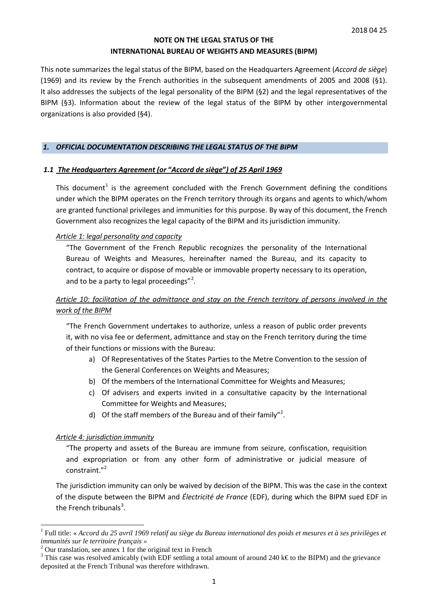### **NOTE ON THE LEGAL STATUS OF THE INTERNATIONAL BUREAU OF WEIGHTS AND MEASURES (BIPM)**

This note summarizes the legal status of the BIPM, based on the Headquarters Agreement (*Accord de siège*) (1969) and its review by the French authorities in the subsequent amendments of 2005 and 2008 (§1). It also addresses the subjects of the legal personality of the BIPM (§2) and the legal representatives of the BIPM (§3). Information about the review of the legal status of the BIPM by other intergovernmental organizations is also provided (§4).

### *1. OFFICIAL DOCUMENTATION DESCRIBING THE LEGAL STATUS OF THE BIPM*

### *1.1 The Headquarters Agreement (or* **"***Accord de siège***"***) of 25 April 1969*

This document<sup>[1](#page-0-0)</sup> is the agreement concluded with the French Government defining the conditions under which the BIPM operates on the French territory through its organs and agents to which/whom are granted functional privileges and immunities for this purpose. By way of this document, the French Government also recognizes the legal capacity of the BIPM and its jurisdiction immunity.

### *Article 1: legal personality and capacity*

"The Government of the French Republic recognizes the personality of the International Bureau of Weights and Measures, hereinafter named the Bureau, and its capacity to contract, to acquire or dispose of movable or immovable property necessary to its operation, and to be a party to legal proceedings"<sup>[2](#page-0-1)</sup>.

# *Article 10: facilitation of the admittance and stay on the French territory of persons involved in the work of the BIPM*

"The French Government undertakes to authorize, unless a reason of public order prevents it, with no visa fee or deferment, admittance and stay on the French territory during the time of their functions or missions with the Bureau:

- a) Of Representatives of the States Parties to the Metre Convention to the session of the General Conferences on Weights and Measures;
- b) Of the members of the International Committee for Weights and Measures;
- c) Of advisers and experts invited in a consultative capacity by the International Committee for Weights and Measures;
- d) Of the staff members of the Bureau and of their family"<sup>2</sup>.

#### *Article 4: jurisdiction immunity*

"The property and assets of the Bureau are immune from seizure, confiscation, requisition and expropriation or from any other form of administrative or judicial measure of constraint."<sup>2</sup>

The jurisdiction immunity can only be waived by decision of the BIPM. This was the case in the context of the dispute between the BIPM and *Électricité de France* (EDF), during which the BIPM sued EDF in the French tribunals<sup>[3](#page-0-2)</sup>.

<span id="page-0-0"></span><sup>1</sup> Full title: « *Accord du 25 avril 1969 relatif au siège du Bureau international des poids et mesures et à ses privilèges et*  immunités sur le territoire français »<br>
<sup>2</sup> Our translation, see annex 1 for the original text in French<br>
<sup>3</sup> This case was resolved amicably (with EDF settling a total amount of around 240 k€to the BIPM) and the grievanc

<span id="page-0-1"></span>

<span id="page-0-2"></span>deposited at the French Tribunal was therefore withdrawn.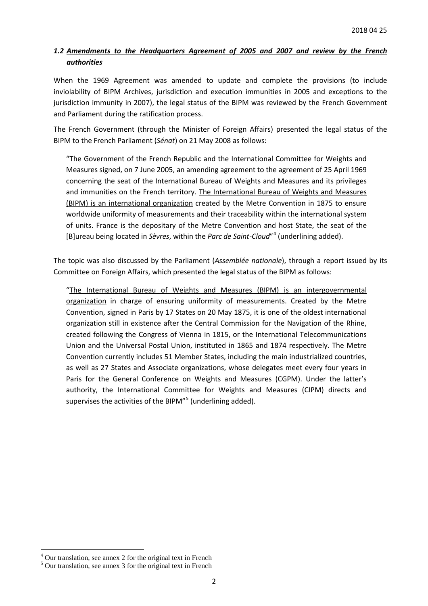# *1.2 Amendments to the Headquarters Agreement of 2005 and 2007 and review by the French authorities*

When the 1969 Agreement was amended to update and complete the provisions (to include inviolability of BIPM Archives, jurisdiction and execution immunities in 2005 and exceptions to the jurisdiction immunity in 2007), the legal status of the BIPM was reviewed by the French Government and Parliament during the ratification process.

The French Government (through the Minister of Foreign Affairs) presented the legal status of the BIPM to the French Parliament (*Sénat*) on 21 May 2008 as follows:

"The Government of the French Republic and the International Committee for Weights and Measures signed, on 7 June 2005, an amending agreement to the agreement of 25 April 1969 concerning the seat of the International Bureau of Weights and Measures and its privileges and immunities on the French territory. The International Bureau of Weights and Measures (BIPM) is an international organization created by the Metre Convention in 1875 to ensure worldwide uniformity of measurements and their traceability within the international system of units. France is the depositary of the Metre Convention and host State, the seat of the [B]ureau being located in *Sèvres*, within the *Parc de Saint-Cloud*"[4](#page-1-0) (underlining added).

The topic was also discussed by the Parliament (*Assemblée nationale*), through a report issued by its Committee on Foreign Affairs, which presented the legal status of the BIPM as follows:

"The International Bureau of Weights and Measures (BIPM) is an intergovernmental organization in charge of ensuring uniformity of measurements. Created by the Metre Convention, signed in Paris by 17 States on 20 May 1875, it is one of the oldest international organization still in existence after the Central Commission for the Navigation of the Rhine, created following the Congress of Vienna in 1815, or the International Telecommunications Union and the Universal Postal Union, instituted in 1865 and 1874 respectively. The Metre Convention currently includes 51 Member States, including the main industrialized countries, as well as 27 States and Associate organizations, whose delegates meet every four years in Paris for the General Conference on Weights and Measures (CGPM). Under the latter's authority, the International Committee for Weights and Measures (CIPM) directs and supervises the activities of the BIPM"<sup>[5](#page-1-1)</sup> (underlining added).

<sup>&</sup>lt;sup>4</sup> Our translation, see annex 2 for the original text in French

<span id="page-1-1"></span><span id="page-1-0"></span><sup>5</sup> Our translation, see annex 3 for the original text in French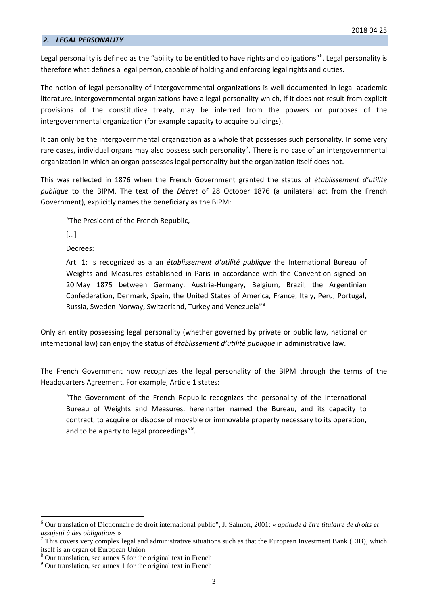#### *2. LEGAL PERSONALITY*

Legal personality is defined as the "ability to be entitled to have rights and obligations"<sup>[6](#page-2-0)</sup>. Legal personality is therefore what defines a legal person, capable of holding and enforcing legal rights and duties.

The notion of legal personality of intergovernmental organizations is well documented in legal academic literature. Intergovernmental organizations have a legal personality which, if it does not result from explicit provisions of the constitutive treaty, may be inferred from the powers or purposes of the intergovernmental organization (for example capacity to acquire buildings).

It can only be the intergovernmental organization as a whole that possesses such personality. In some very rare cases, individual organs may also possess such personality<sup>[7](#page-2-1)</sup>. There is no case of an intergovernmental organization in which an organ possesses legal personality but the organization itself does not.

This was reflected in 1876 when the French Government granted the status of *établissement d'utilité publique* to the BIPM. The text of the *Décret* of 28 October 1876 (a unilateral act from the French Government), explicitly names the beneficiary as the BIPM:

"The President of the French Republic,

[…]

Decrees:

Art. 1: Is recognized as a an *établissement d'utilité publique* the International Bureau of Weights and Measures established in Paris in accordance with the Convention signed on 20 May 1875 between Germany, Austria-Hungary, Belgium, Brazil, the Argentinian Confederation, Denmark, Spain, the United States of America, France, Italy, Peru, Portugal, Russia, Sweden-Norway, Switzerland, Turkey and Venezuela"<sup>[8](#page-2-2)</sup>.

Only an entity possessing legal personality (whether governed by private or public law, national or international law) can enjoy the status of *établissement d'utilité publique* in administrative law.

The French Government now recognizes the legal personality of the BIPM through the terms of the Headquarters Agreement*.* For example, Article 1 states:

"The Government of the French Republic recognizes the personality of the International Bureau of Weights and Measures, hereinafter named the Bureau, and its capacity to contract, to acquire or dispose of movable or immovable property necessary to its operation, and to be a party to legal proceedings"<sup>[9](#page-2-3)</sup>.

<span id="page-2-0"></span><sup>6</sup> Our translation of Dictionnaire de droit international public", J. Salmon, 2001: « *aptitude à être titulaire de droits et assujetti à des obligations* »<br><sup>7</sup> This covers very complex legal and administrative situations such as that the European Investment Bank (EIB), which

<span id="page-2-1"></span>itself is an organ of European Union.<br><sup>8</sup> Our translation, see annex 5 for the original text in French

<span id="page-2-3"></span><span id="page-2-2"></span><sup>&</sup>lt;sup>9</sup> Our translation, see annex 1 for the original text in French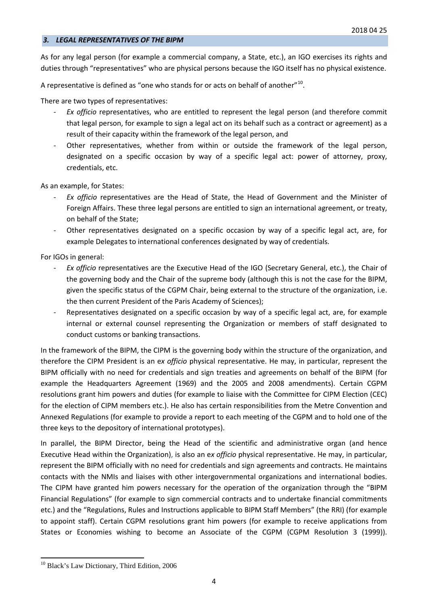#### *3. LEGAL REPRESENTATIVES OF THE BIPM*

As for any legal person (for example a commercial company, a State, etc.), an IGO exercises its rights and duties through "representatives" who are physical persons because the IGO itself has no physical existence.

A representative is defined as "one who stands for or acts on behalf of another"<sup>[10](#page-3-0)</sup>.

There are two types of representatives:

- *Ex officio* representatives, who are entitled to represent the legal person (and therefore commit that legal person, for example to sign a legal act on its behalf such as a contract or agreement) as a result of their capacity within the framework of the legal person, and
- Other representatives, whether from within or outside the framework of the legal person, designated on a specific occasion by way of a specific legal act: power of attorney, proxy, credentials, etc.

As an example, for States:

- *Ex officio* representatives are the Head of State, the Head of Government and the Minister of Foreign Affairs. These three legal persons are entitled to sign an international agreement, or treaty, on behalf of the State;
- Other representatives designated on a specific occasion by way of a specific legal act, are, for example Delegates to international conferences designated by way of credentials.

For IGOs in general:

- *Ex officio* representatives are the Executive Head of the IGO (Secretary General, etc.), the Chair of the governing body and the Chair of the supreme body (although this is not the case for the BIPM, given the specific status of the CGPM Chair, being external to the structure of the organization, i.e. the then current President of the Paris Academy of Sciences);
- Representatives designated on a specific occasion by way of a specific legal act, are, for example internal or external counsel representing the Organization or members of staff designated to conduct customs or banking transactions.

In the framework of the BIPM, the CIPM is the governing body within the structure of the organization, and therefore the CIPM President is an e*x officio* physical representative. He may, in particular, represent the BIPM officially with no need for credentials and sign treaties and agreements on behalf of the BIPM (for example the Headquarters Agreement (1969) and the 2005 and 2008 amendments). Certain CGPM resolutions grant him powers and duties (for example to liaise with the Committee for CIPM Election (CEC) for the election of CIPM members etc.). He also has certain responsibilities from the Metre Convention and Annexed Regulations (for example to provide a report to each meeting of the CGPM and to hold one of the three keys to the depository of international prototypes).

In parallel, the BIPM Director, being the Head of the scientific and administrative organ (and hence Executive Head within the Organization), is also an e*x officio* physical representative. He may, in particular, represent the BIPM officially with no need for credentials and sign agreements and contracts. He maintains contacts with the NMIs and liaises with other intergovernmental organizations and international bodies. The CIPM have granted him powers necessary for the operation of the organization through the "BIPM Financial Regulations" (for example to sign commercial contracts and to undertake financial commitments etc.) and the "Regulations, Rules and Instructions applicable to BIPM Staff Members" (the RRI) (for example to appoint staff). Certain CGPM resolutions grant him powers (for example to receive applications from States or Economies wishing to become an Associate of the CGPM (CGPM Resolution 3 (1999)).

<span id="page-3-0"></span><sup>&</sup>lt;sup>10</sup> Black's Law Dictionary, Third Edition, 2006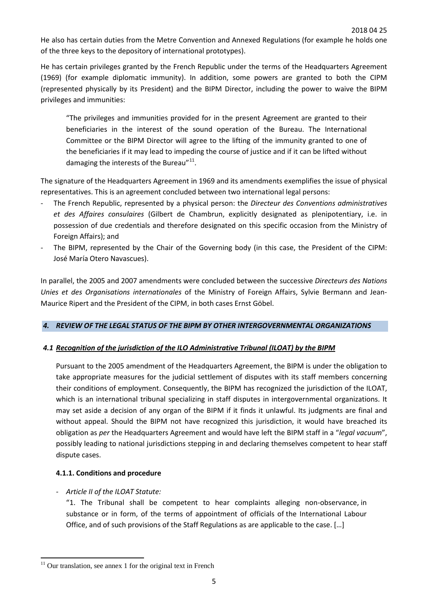He also has certain duties from the Metre Convention and Annexed Regulations (for example he holds one of the three keys to the depository of international prototypes).

He has certain privileges granted by the French Republic under the terms of the Headquarters Agreement (1969) (for example diplomatic immunity). In addition, some powers are granted to both the CIPM (represented physically by its President) and the BIPM Director, including the power to waive the BIPM privileges and immunities:

"The privileges and immunities provided for in the present Agreement are granted to their beneficiaries in the interest of the sound operation of the Bureau. The International Committee or the BIPM Director will agree to the lifting of the immunity granted to one of the beneficiaries if it may lead to impeding the course of justice and if it can be lifted without damaging the interests of the Bureau" $^{11}$ .

The signature of the Headquarters Agreement in 1969 and its amendments exemplifies the issue of physical representatives. This is an agreement concluded between two international legal persons:

- The French Republic, represented by a physical person: the *Directeur des Conventions administratives et des Affaires consulaires* (Gilbert de Chambrun, explicitly designated as plenipotentiary, i.e. in possession of due credentials and therefore designated on this specific occasion from the Ministry of Foreign Affairs); and
- The BIPM, represented by the Chair of the Governing body (in this case, the President of the CIPM: José María Otero Navascues).

In parallel, the 2005 and 2007 amendments were concluded between the successive *Directeurs des Nations Unies et des Organisations internationales* of the Ministry of Foreign Affairs, Sylvie Bermann and Jean-Maurice Ripert and the President of the CIPM, in both cases Ernst Göbel.

# *4. REVIEW OF THE LEGAL STATUS OF THE BIPM BY OTHER INTERGOVERNMENTAL ORGANIZATIONS*

### *4.1 Recognition of the jurisdiction of the ILO Administrative Tribunal (ILOAT) by the BIPM*

Pursuant to the 2005 amendment of the Headquarters Agreement, the BIPM is under the obligation to take appropriate measures for the judicial settlement of disputes with its staff members concerning their conditions of employment. Consequently, the BIPM has recognized the jurisdiction of the ILOAT, which is an international tribunal specializing in staff disputes in intergovernmental organizations. It may set aside a decision of any organ of the BIPM if it finds it unlawful. Its judgments are final and without appeal. Should the BIPM not have recognized this jurisdiction, it would have breached its obligation as *per* the Headquarters Agreement and would have left the BIPM staff in a "*legal vacuum*", possibly leading to national jurisdictions stepping in and declaring themselves competent to hear staff dispute cases.

### **4.1.1. Conditions and procedure**

- *- Article II of the ILOAT Statute:*
	- "1. The Tribunal shall be competent to hear complaints alleging non-observance, in substance or in form, of the terms of appointment of officials of the International Labour Office, and of such provisions of the Staff Regulations as are applicable to the case. […]

<span id="page-4-0"></span> $11$  Our translation, see annex 1 for the original text in French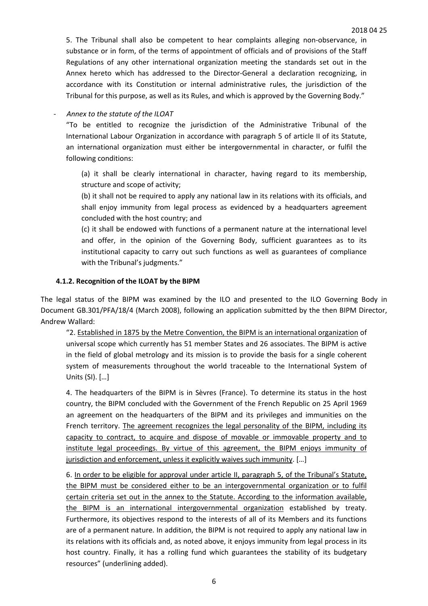5. The Tribunal shall also be competent to hear complaints alleging non-observance, in substance or in form, of the terms of appointment of officials and of provisions of the Staff Regulations of any other international organization meeting the standards set out in the Annex hereto which has addressed to the Director-General a declaration recognizing, in accordance with its Constitution or internal administrative rules, the jurisdiction of the Tribunal for this purpose, as well as its Rules, and which is approved by the Governing Body."

- *Annex to the statute of the ILOAT*

"To be entitled to recognize the jurisdiction of the Administrative Tribunal of the International Labour Organization in accordance with paragraph 5 of article II of its Statute, an international organization must either be intergovernmental in character, or fulfil the following conditions:

(a) it shall be clearly international in character, having regard to its membership, structure and scope of activity;

(b) it shall not be required to apply any national law in its relations with its officials, and shall enjoy immunity from legal process as evidenced by a headquarters agreement concluded with the host country; and

(c) it shall be endowed with functions of a permanent nature at the international level and offer, in the opinion of the Governing Body, sufficient guarantees as to its institutional capacity to carry out such functions as well as guarantees of compliance with the Tribunal's judgments."

### **4.1.2. Recognition of the ILOAT by the BIPM**

The legal status of the BIPM was examined by the ILO and presented to the ILO Governing Body in Document GB.301/PFA/18/4 (March 2008), following an application submitted by the then BIPM Director, Andrew Wallard:

"2. Established in 1875 by the Metre Convention, the BIPM is an international organization of universal scope which currently has 51 member States and 26 associates. The BIPM is active in the field of global metrology and its mission is to provide the basis for a single coherent system of measurements throughout the world traceable to the International System of Units (SI). […]

4. The headquarters of the BIPM is in Sèvres (France). To determine its status in the host country, the BIPM concluded with the Government of the French Republic on 25 April 1969 an agreement on the headquarters of the BIPM and its privileges and immunities on the French territory. The agreement recognizes the legal personality of the BIPM, including its capacity to contract, to acquire and dispose of movable or immovable property and to institute legal proceedings. By virtue of this agreement, the BIPM enjoys immunity of jurisdiction and enforcement, unless it explicitly waives such immunity. […]

6. In order to be eligible for approval under article II, paragraph 5, of the Tribunal's Statute, the BIPM must be considered either to be an intergovernmental organization or to fulfil certain criteria set out in the annex to the Statute. According to the information available, the BIPM is an international intergovernmental organization established by treaty. Furthermore, its objectives respond to the interests of all of its Members and its functions are of a permanent nature. In addition, the BIPM is not required to apply any national law in its relations with its officials and, as noted above, it enjoys immunity from legal process in its host country. Finally, it has a rolling fund which guarantees the stability of its budgetary resources" (underlining added).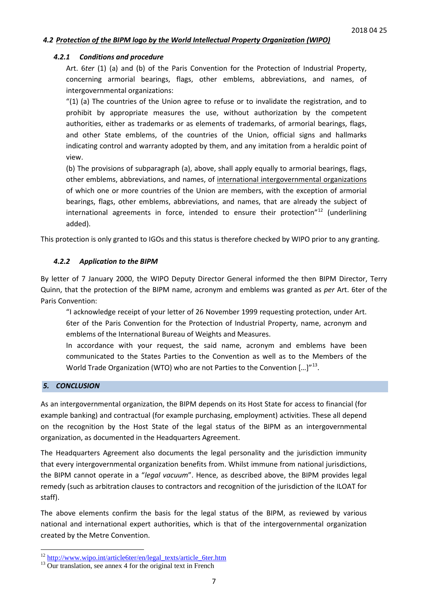### *4.2 Protection of the BIPM logo by the World Intellectual Property Organization (WIPO)*

#### *4.2.1 Conditions and procedure*

Art. 6*ter* (1) (a) and (b) of the Paris Convention for the Protection of Industrial Property, concerning armorial bearings, flags, other emblems, abbreviations, and names, of intergovernmental organizations:

"(1) (a) The countries of the Union agree to refuse or to invalidate the registration, and to prohibit by appropriate measures the use, without authorization by the competent authorities, either as trademarks or as elements of trademarks, of armorial bearings, flags, and other State emblems, of the countries of the Union, official signs and hallmarks indicating control and warranty adopted by them, and any imitation from a heraldic point of view.

(b) The provisions of subparagraph (a), above, shall apply equally to armorial bearings, flags, other emblems, abbreviations, and names, of international intergovernmental organizations of which one or more countries of the Union are members, with the exception of armorial bearings, flags, other emblems, abbreviations, and names, that are already the subject of international agreements in force, intended to ensure their protection"<sup>[12](#page-6-0)</sup> (underlining added).

This protection is only granted to IGOs and this status is therefore checked by WIPO prior to any granting.

#### *4.2.2 Application to the BIPM*

By letter of 7 January 2000, the WIPO Deputy Director General informed the then BIPM Director, Terry Quinn, that the protection of the BIPM name, acronym and emblems was granted as *per* Art. 6ter of the Paris Convention:

"I acknowledge receipt of your letter of 26 November 1999 requesting protection, under Art. 6ter of the Paris Convention for the Protection of Industrial Property, name, acronym and emblems of the International Bureau of Weights and Measures.

In accordance with your request, the said name, acronym and emblems have been communicated to the States Parties to the Convention as well as to the Members of the World Trade Organization (WTO) who are not Parties to the Convention [...]"<sup>13</sup>.

#### *5. CONCLUSION*

As an intergovernmental organization, the BIPM depends on its Host State for access to financial (for example banking) and contractual (for example purchasing, employment) activities. These all depend on the recognition by the Host State of the legal status of the BIPM as an intergovernmental organization, as documented in the Headquarters Agreement.

The Headquarters Agreement also documents the legal personality and the jurisdiction immunity that every intergovernmental organization benefits from. Whilst immune from national jurisdictions, the BIPM cannot operate in a "*legal vacuum*". Hence, as described above, the BIPM provides legal remedy (such as arbitration clauses to contractors and recognition of the jurisdiction of the ILOAT for staff).

The above elements confirm the basis for the legal status of the BIPM, as reviewed by various national and international expert authorities, which is that of the intergovernmental organization created by the Metre Convention.

<span id="page-6-0"></span> $12 \frac{\text{http://www.wipo.int/article6ter/en/legal\_texts/article_6ter.htm}}{13 \text{ Our translation, see annex 4 for the original text in French}}$ 

<span id="page-6-1"></span>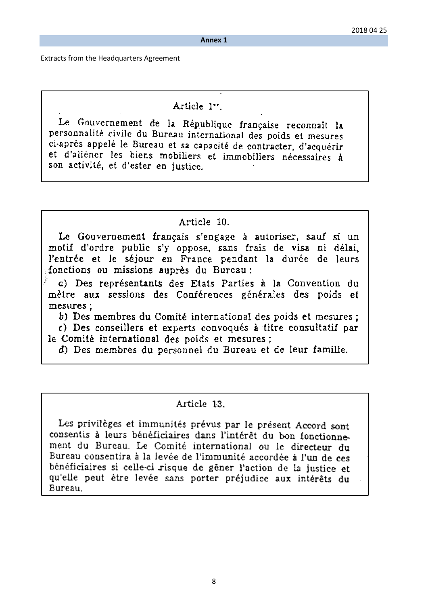**Annex 1**

Extracts from the Headquarters Agreement

# Article 1".

Le Gouvernement de la République française reconnaît la personnalité civile du Bureau international des poids et mesures ci-après appelé le Bureau et sa capacité de contracter, d'acquérir et d'aliéner les biens mobiliers et immobiliers nécessaires à son activité, et d'ester en justice.

# Article 10.

Le Gouvernement français s'engage à autoriser, sauf si un motif d'ordre public s'y oppose, sans frais de visa ni délai, l'entrée et le séjour en France pendant la durée de leurs fonctions ou missions auprès du Bureau:

a) Des représentants des Etats Parties à la Convention du mètre aux sessions des Conférences générales des poids et mesures :

b) Des membres du Comité international des poids et mesures;

c) Des conseillers et experts convoqués à titre consultatif par le Comité international des poids et mesures;

d) Des membres du personnel du Bureau et de leur famille.

# Article 13.

Les privilèges et immunités prévus par le présent Accord sont consentis à leurs bénéficiaires dans l'intérêt du bon fonctionnement du Bureau. Le Comité international ou le directeur du Bureau consentira à la levée de l'immunité accordée à l'un de ces bénéficiaires si celle-ci risque de gêner l'action de la justice et qu'elle peut être levée sans porter préjudice aux intérêts du Bureau.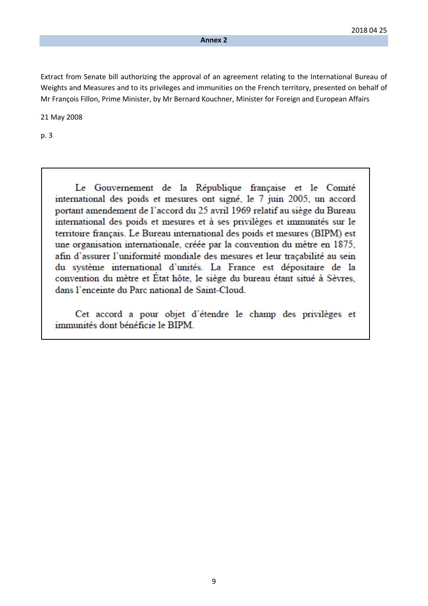Extract from Senate bill authorizing the approval of an agreement relating to the International Bureau of Weights and Measures and to its privileges and immunities on the French territory, presented on behalf of Mr François Fillon, Prime Minister, by Mr Bernard Kouchner, Minister for Foreign and European Affairs

21 May 2008

p. 3

Le Gouvernement de la République française et le Comité international des poids et mesures ont signé, le 7 juin 2005, un accord portant amendement de l'accord du 25 avril 1969 relatif au siège du Bureau international des poids et mesures et à ses privilèges et immunités sur le territoire français. Le Bureau international des poids et mesures (BIPM) est une organisation internationale, créée par la convention du mètre en 1875, afin d'assurer l'uniformité mondiale des mesures et leur tracabilité au sein du système international d'unités. La France est dépositaire de la convention du mètre et État hôte, le siège du bureau étant situé à Sèvres, dans l'enceinte du Parc national de Saint-Cloud.

Cet accord a pour objet d'étendre le champ des privilèges et immunités dont bénéficie le BIPM.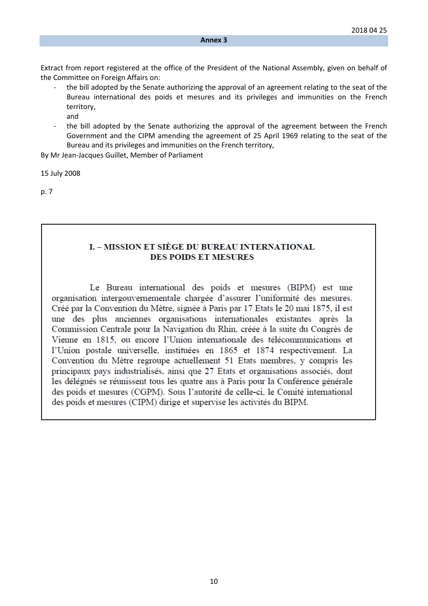Extract from report registered at the office of the President of the National Assembly, given on behalf of the Committee on Foreign Affairs on:

- the bill adopted by the Senate authorizing the approval of an agreement relating to the seat of the Bureau international des poids et mesures and its privileges and immunities on the French territory, and
- the bill adopted by the Senate authorizing the approval of the agreement between the French Government and the CIPM amending the agreement of 25 April 1969 relating to the seat of the Bureau and its privileges and immunities on the French territory,

By Mr Jean-Jacques Guillet, Member of Parliament

15 July 2008

p. 7

## **L – MISSION ET SIÈGE DU BUREAU INTERNATIONAL DES POIDS ET MESURES**

Le Bureau international des poids et mesures (BIPM) est une organisation intergouvernementale chargée d'assurer l'uniformité des mesures. Créé par la Convention du Mètre, signée à Paris par 17 Etats le 20 mai 1875, il est une des plus anciennes organisations internationales existantes après la Commission Centrale pour la Navigation du Rhin, créée à la suite du Congrès de Vienne en 1815, ou encore l'Union internationale des télécommunications et l'Union postale universelle, instituées en 1865 et 1874 respectivement. La Convention du Mètre regroupe actuellement 51 Etats membres, y compris les principaux pays industrialisés, ainsi que 27 Etats et organisations associés, dont les délégués se réunissent tous les quatre ans à Paris pour la Conférence générale des poids et mesures (CGPM). Sous l'autorité de celle-ci, le Comité international des poids et mesures (CIPM) dirige et supervise les activités du BIPM.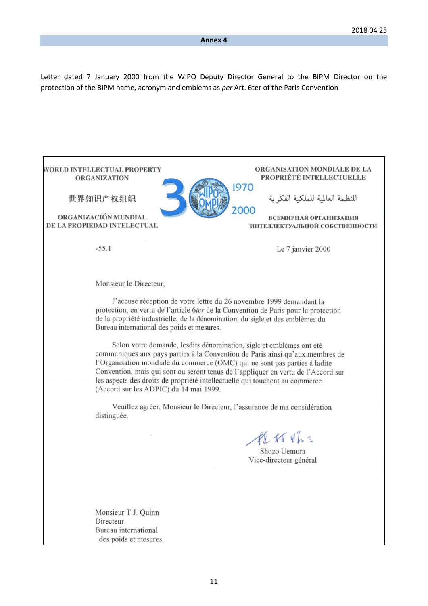Letter dated 7 January 2000 from the WIPO Deputy Director General to the BIPM Director on the protection of the BIPM name, acronym and emblems as *per* Art. 6ter of the Paris Convention

ORGANISATION MONDIALE DE LA WORLD INTELLECTUAL PROPERTY PROPRIÉTÉ INTELLECTUELLE **ORGANIZATION** 1970 المنظمة العالمية للملكية الفكرية 世界知识产权组织 2000 ORGANIZACIÓN MUNDIAL **ВСЕМИРНАЯ ОРГАНИЗАЦИЯ** DE LA PROPIEDAD INTELECTUAL ИНТЕЛЛЕКТУАЛЬНОЙ СОБСТВЕННОСТИ  $-55.1$ Le 7 janvier 2000 Monsieur le Directeur, J'accuse réception de votre lettre du 26 novembre 1999 demandant la protection, en vertu de l'article 6ter de la Convention de Paris pour la protection de la propriété industrielle, de la dénomination, du sigle et des emblèmes du Bureau international des poids et mesures. Selon votre demande, lesdits dénomination, sigle et emblèmes ont été communiqués aux pays parties à la Convention de Paris ainsi qu'aux membres de l'Organisation mondiale du commerce (OMC) qui ne sont pas parties à ladite Convention, mais qui sont ou seront tenus de l'appliquer en vertu de l'Accord sur les aspects des droits de propriété intellectuelle qui touchent au commerce (Accord sur les ADPIC) du 14 mai 1999. Veuillez agréer, Monsieur le Directeur, l'assurance de ma considération distinguée.  $P(x+y)$ Shozo Uemura Vice-directeur général Monsieur T.J. Quinn Directeur Bureau international des poids et mesures